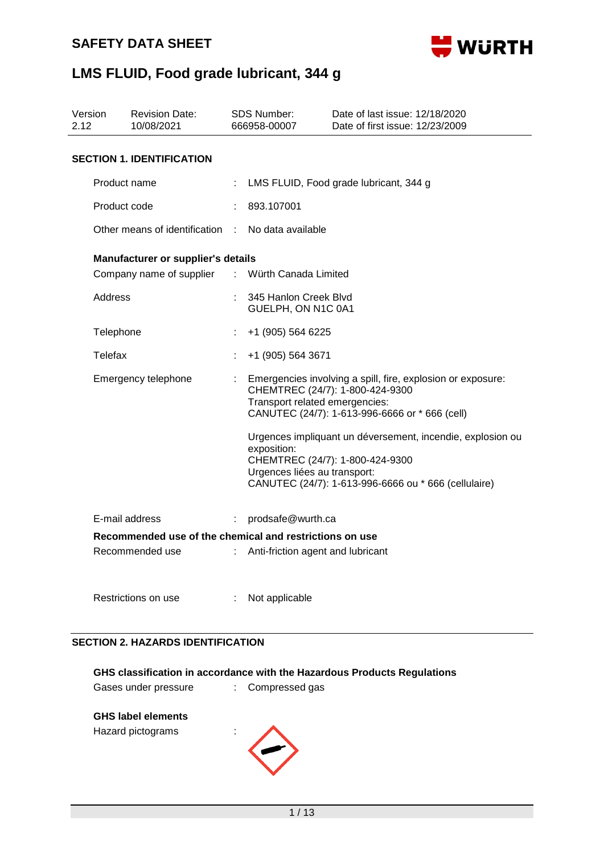

| 2.12 | Version<br><b>Revision Date:</b><br>10/08/2021                 |    | <b>SDS Number:</b><br>666958-00007          | Date of last issue: 12/18/2020<br>Date of first issue: 12/23/2009                                                                                     |  |  |
|------|----------------------------------------------------------------|----|---------------------------------------------|-------------------------------------------------------------------------------------------------------------------------------------------------------|--|--|
|      | <b>SECTION 1. IDENTIFICATION</b>                               |    |                                             |                                                                                                                                                       |  |  |
|      | Product name                                                   |    | LMS FLUID, Food grade lubricant, 344 g      |                                                                                                                                                       |  |  |
|      | Product code                                                   |    | 893.107001                                  |                                                                                                                                                       |  |  |
|      | Other means of identification :                                |    | No data available                           |                                                                                                                                                       |  |  |
|      | Manufacturer or supplier's details<br>Company name of supplier | ÷. | Würth Canada Limited                        |                                                                                                                                                       |  |  |
|      | Address                                                        |    | 345 Hanlon Creek Blvd<br>GUELPH, ON N1C 0A1 |                                                                                                                                                       |  |  |
|      | Telephone                                                      |    | +1 (905) 564 6225                           |                                                                                                                                                       |  |  |
|      | Telefax                                                        |    | +1 (905) 564 3671                           |                                                                                                                                                       |  |  |
|      | Emergency telephone                                            |    | Transport related emergencies:              | Emergencies involving a spill, fire, explosion or exposure:<br>CHEMTREC (24/7): 1-800-424-9300<br>CANUTEC (24/7): 1-613-996-6666 or * 666 (cell)      |  |  |
|      |                                                                |    | exposition:<br>Urgences liées au transport: | Urgences impliquant un déversement, incendie, explosion ou<br>CHEMTREC (24/7): 1-800-424-9300<br>CANUTEC (24/7): 1-613-996-6666 ou * 666 (cellulaire) |  |  |
|      | E-mail address                                                 | ÷  | prodsafe@wurth.ca                           |                                                                                                                                                       |  |  |
|      | Recommended use of the chemical and restrictions on use        |    |                                             |                                                                                                                                                       |  |  |
|      | Recommended use                                                |    | Anti-friction agent and lubricant           |                                                                                                                                                       |  |  |

#### **SECTION 2. HAZARDS IDENTIFICATION**

| Restrictions on use                      | : Not applicable |  |  |  |  |  |
|------------------------------------------|------------------|--|--|--|--|--|
| <b>SECTION 2. HAZARDS IDENTIFICATION</b> |                  |  |  |  |  |  |

|                      | GHS classification in accordance with the Hazardous Products Regulations |
|----------------------|--------------------------------------------------------------------------|
| Gases under pressure | : Compressed gas                                                         |

## **GHS label elements**

Hazard pictograms :

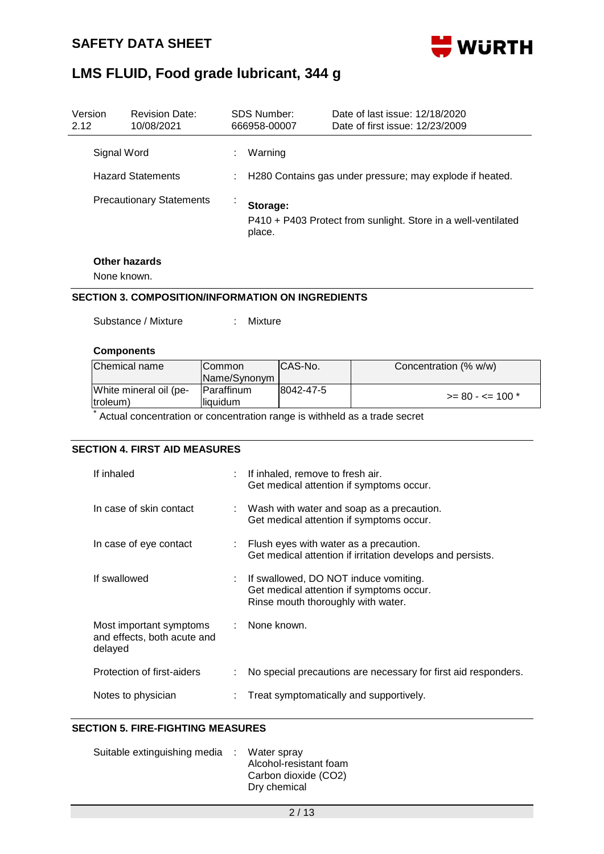

| Version<br>2.12                 | <b>Revision Date:</b><br>10/08/2021 |                                                          | SDS Number:<br>666958-00007 | Date of last issue: 12/18/2020<br>Date of first issue: 12/23/2009 |  |
|---------------------------------|-------------------------------------|----------------------------------------------------------|-----------------------------|-------------------------------------------------------------------|--|
| Signal Word                     |                                     |                                                          | Warning                     |                                                                   |  |
| <b>Hazard Statements</b>        |                                     | H280 Contains gas under pressure; may explode if heated. |                             |                                                                   |  |
| <b>Precautionary Statements</b> |                                     |                                                          | Storage:<br>place.          | P410 + P403 Protect from sunlight. Store in a well-ventilated     |  |

# **Other hazards**

None known.

### **SECTION 3. COMPOSITION/INFORMATION ON INGREDIENTS**

| Substance / Mixture |  | Mixture |
|---------------------|--|---------|
|                     |  |         |

#### **Components**

| Chemical name                      | <b>ICommon</b><br>Name/Synonym | ICAS-No.  | Concentration (% w/w) |
|------------------------------------|--------------------------------|-----------|-----------------------|
| White mineral oil (pe-<br>(troleum | Paraffinum<br>lliauidum        | 8042-47-5 | $>= 80 - \le 100$ *   |

\* Actual concentration or concentration range is withheld as a trade secret

## **SECTION 4. FIRST AID MEASURES**

| If inhaled                                                        | : If inhaled, remove to fresh air.<br>Get medical attention if symptoms occur.                                            |
|-------------------------------------------------------------------|---------------------------------------------------------------------------------------------------------------------------|
| In case of skin contact                                           | $\therefore$ Wash with water and soap as a precaution.<br>Get medical attention if symptoms occur.                        |
| In case of eye contact                                            | $\therefore$ Flush eyes with water as a precaution.<br>Get medical attention if irritation develops and persists.         |
| If swallowed                                                      | : If swallowed, DO NOT induce vomiting.<br>Get medical attention if symptoms occur.<br>Rinse mouth thoroughly with water. |
| Most important symptoms<br>and effects, both acute and<br>delayed | : None known.                                                                                                             |
| Protection of first-aiders                                        | No special precautions are necessary for first aid responders.                                                            |
| Notes to physician                                                | Treat symptomatically and supportively.                                                                                   |

# **SECTION 5. FIRE-FIGHTING MEASURES**

| Suitable extinguishing media : Water spray |                        |
|--------------------------------------------|------------------------|
|                                            | Alcohol-resistant foam |
|                                            | Carbon dioxide (CO2)   |
|                                            | Dry chemical           |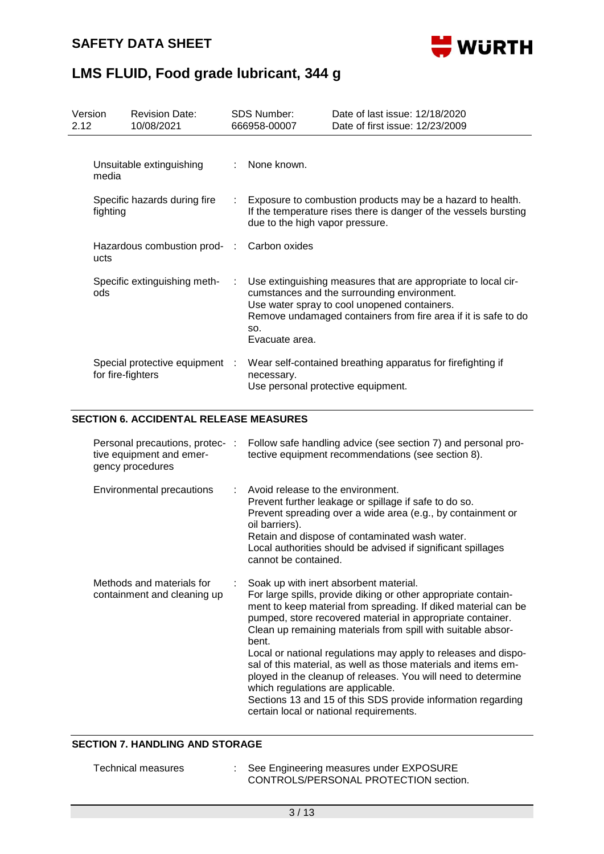

| Version<br>2.12 |                                          | <b>Revision Date:</b><br>10/08/2021 |    | SDS Number:<br>666958-00007                                                                                                                                       | Date of last issue: 12/18/2020<br>Date of first issue: 12/23/2009                                                                                                                                                              |  |
|-----------------|------------------------------------------|-------------------------------------|----|-------------------------------------------------------------------------------------------------------------------------------------------------------------------|--------------------------------------------------------------------------------------------------------------------------------------------------------------------------------------------------------------------------------|--|
|                 | media                                    | Unsuitable extinguishing            | t. | None known.                                                                                                                                                       |                                                                                                                                                                                                                                |  |
|                 | Specific hazards during fire<br>fighting |                                     | t. | Exposure to combustion products may be a hazard to health.<br>If the temperature rises there is danger of the vessels bursting<br>due to the high vapor pressure. |                                                                                                                                                                                                                                |  |
|                 | Hazardous combustion prod- :<br>ucts     |                                     |    | Carbon oxides                                                                                                                                                     |                                                                                                                                                                                                                                |  |
|                 | ods                                      | Specific extinguishing meth-        | ÷. | SO.<br>Evacuate area.                                                                                                                                             | Use extinguishing measures that are appropriate to local cir-<br>cumstances and the surrounding environment.<br>Use water spray to cool unopened containers.<br>Remove undamaged containers from fire area if it is safe to do |  |
|                 | for fire-fighters                        | Special protective equipment :      |    | necessary.<br>Use personal protective equipment.                                                                                                                  | Wear self-contained breathing apparatus for firefighting if                                                                                                                                                                    |  |

## **SECTION 6. ACCIDENTAL RELEASE MEASURES**

| Personal precautions, protec- :<br>tive equipment and emer-<br>gency procedures | Follow safe handling advice (see section 7) and personal pro-<br>tective equipment recommendations (see section 8).                                                                                                                                                                                                                                                                                                                                                                                                                                                                                                                                                    |
|---------------------------------------------------------------------------------|------------------------------------------------------------------------------------------------------------------------------------------------------------------------------------------------------------------------------------------------------------------------------------------------------------------------------------------------------------------------------------------------------------------------------------------------------------------------------------------------------------------------------------------------------------------------------------------------------------------------------------------------------------------------|
| Environmental precautions                                                       | Avoid release to the environment.<br>Prevent further leakage or spillage if safe to do so.<br>Prevent spreading over a wide area (e.g., by containment or<br>oil barriers).<br>Retain and dispose of contaminated wash water.<br>Local authorities should be advised if significant spillages<br>cannot be contained.                                                                                                                                                                                                                                                                                                                                                  |
| Methods and materials for<br>containment and cleaning up                        | Soak up with inert absorbent material.<br>For large spills, provide diking or other appropriate contain-<br>ment to keep material from spreading. If diked material can be<br>pumped, store recovered material in appropriate container.<br>Clean up remaining materials from spill with suitable absor-<br>bent.<br>Local or national regulations may apply to releases and dispo-<br>sal of this material, as well as those materials and items em-<br>ployed in the cleanup of releases. You will need to determine<br>which regulations are applicable.<br>Sections 13 and 15 of this SDS provide information regarding<br>certain local or national requirements. |

## **SECTION 7. HANDLING AND STORAGE**

| Technical measures | See Engineering measures under EXPOSURE |
|--------------------|-----------------------------------------|
|                    | CONTROLS/PERSONAL PROTECTION section.   |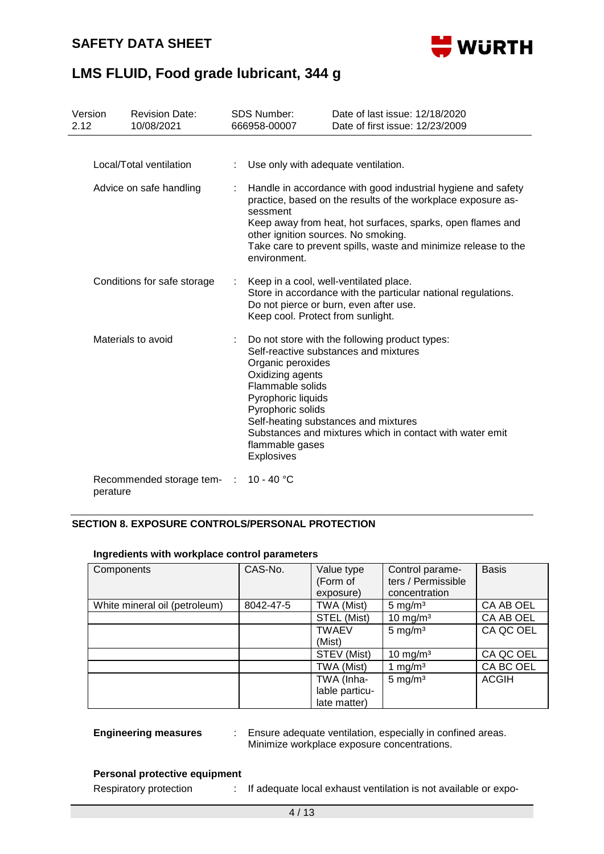# **SAFETY DATA SHEET**



# **LMS FLUID, Food grade lubricant, 344 g**

| Version<br>2.12 |                             | <b>Revision Date:</b><br>10/08/2021 |    | <b>SDS Number:</b><br>666958-00007                                                                                                                                                                                                                                                                                                          | Date of last issue: 12/18/2020<br>Date of first issue: 12/23/2009                                                                                 |  |
|-----------------|-----------------------------|-------------------------------------|----|---------------------------------------------------------------------------------------------------------------------------------------------------------------------------------------------------------------------------------------------------------------------------------------------------------------------------------------------|---------------------------------------------------------------------------------------------------------------------------------------------------|--|
|                 |                             | Local/Total ventilation             |    | Use only with adequate ventilation.                                                                                                                                                                                                                                                                                                         |                                                                                                                                                   |  |
|                 | Advice on safe handling     |                                     |    | Handle in accordance with good industrial hygiene and safety<br>practice, based on the results of the workplace exposure as-<br>sessment<br>Keep away from heat, hot surfaces, sparks, open flames and<br>other ignition sources. No smoking.<br>Take care to prevent spills, waste and minimize release to the<br>environment.             |                                                                                                                                                   |  |
|                 | Conditions for safe storage |                                     |    | Keep cool. Protect from sunlight.                                                                                                                                                                                                                                                                                                           | Keep in a cool, well-ventilated place.<br>Store in accordance with the particular national regulations.<br>Do not pierce or burn, even after use. |  |
|                 | Materials to avoid          |                                     | t. | Do not store with the following product types:<br>Self-reactive substances and mixtures<br>Organic peroxides<br>Oxidizing agents<br>Flammable solids<br>Pyrophoric liquids<br>Pyrophoric solids<br>Self-heating substances and mixtures<br>Substances and mixtures which in contact with water emit<br>flammable gases<br><b>Explosives</b> |                                                                                                                                                   |  |
|                 | perature                    | Recommended storage tem-            |    | 10 - 40 °C                                                                                                                                                                                                                                                                                                                                  |                                                                                                                                                   |  |

## **SECTION 8. EXPOSURE CONTROLS/PERSONAL PROTECTION**

| Components                    | CAS-No.   | Value type     | Control parame-      | <b>Basis</b> |
|-------------------------------|-----------|----------------|----------------------|--------------|
|                               |           | (Form of       | ters / Permissible   |              |
|                               |           | exposure)      | concentration        |              |
| White mineral oil (petroleum) | 8042-47-5 | TWA (Mist)     | 5 mg/ $m3$           | CA AB OEL    |
|                               |           | STEL (Mist)    | 10 mg/m $3$          | CA AB OEL    |
|                               |           | <b>TWAEV</b>   | $5 \text{ mg/m}^3$   | CA QC OEL    |
|                               |           | (Mist)         |                      |              |
|                               |           | STEV (Mist)    | 10 mg/m <sup>3</sup> | CA QC OEL    |
|                               |           | TWA (Mist)     | 1 mg/m $3$           | CA BC OEL    |
|                               |           | TWA (Inha-     | $5 \text{ mg/m}^3$   | <b>ACGIH</b> |
|                               |           | lable particu- |                      |              |
|                               |           | late matter)   |                      |              |

# **Ingredients with workplace control parameters**

**Engineering measures** : Ensure adequate ventilation, especially in confined areas. Minimize workplace exposure concentrations.

## **Personal protective equipment**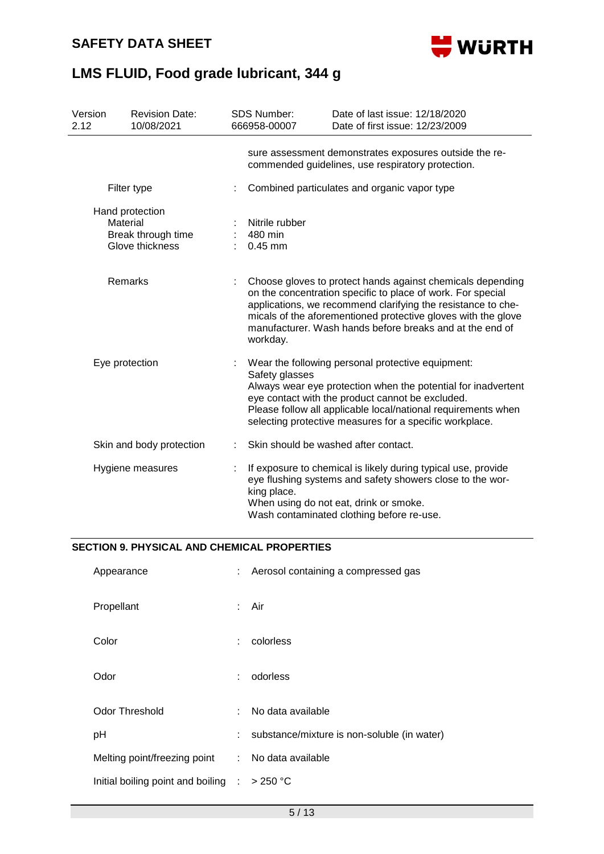

| Version<br>2.12 | <b>Revision Date:</b><br>10/08/2021                                  |  | <b>SDS Number:</b><br>666958-00007     | Date of last issue: 12/18/2020<br>Date of first issue: 12/23/2009                                                                                                                                                                                                                                                      |
|-----------------|----------------------------------------------------------------------|--|----------------------------------------|------------------------------------------------------------------------------------------------------------------------------------------------------------------------------------------------------------------------------------------------------------------------------------------------------------------------|
|                 |                                                                      |  |                                        | sure assessment demonstrates exposures outside the re-<br>commended guidelines, use respiratory protection.                                                                                                                                                                                                            |
|                 | Filter type                                                          |  |                                        | Combined particulates and organic vapor type                                                                                                                                                                                                                                                                           |
|                 | Hand protection<br>Material<br>Break through time<br>Glove thickness |  | Nitrile rubber<br>480 min<br>$0.45$ mm |                                                                                                                                                                                                                                                                                                                        |
|                 | Remarks                                                              |  | workday.                               | Choose gloves to protect hands against chemicals depending<br>on the concentration specific to place of work. For special<br>applications, we recommend clarifying the resistance to che-<br>micals of the aforementioned protective gloves with the glove<br>manufacturer. Wash hands before breaks and at the end of |
|                 | Eye protection                                                       |  | Safety glasses                         | Wear the following personal protective equipment:<br>Always wear eye protection when the potential for inadvertent<br>eye contact with the product cannot be excluded.<br>Please follow all applicable local/national requirements when<br>selecting protective measures for a specific workplace.                     |
|                 | Skin and body protection                                             |  |                                        | Skin should be washed after contact.                                                                                                                                                                                                                                                                                   |
|                 | Hygiene measures                                                     |  | king place.                            | If exposure to chemical is likely during typical use, provide<br>eye flushing systems and safety showers close to the wor-<br>When using do not eat, drink or smoke.<br>Wash contaminated clothing before re-use.                                                                                                      |

#### **SECTION 9. PHYSICAL AND CHEMICAL PROPERTIES**

| Appearance                                              | t. | Aerosol containing a compressed gas         |
|---------------------------------------------------------|----|---------------------------------------------|
| Propellant                                              |    | : Air                                       |
| Color                                                   | ÷. | colorless                                   |
| Odor                                                    | ÷  | odorless                                    |
| Odor Threshold                                          | ÷  | No data available                           |
| рH                                                      | t. | substance/mixture is non-soluble (in water) |
| Melting point/freezing point                            |    | : No data available                         |
| Initial boiling point and boiling $\therefore$ > 250 °C |    |                                             |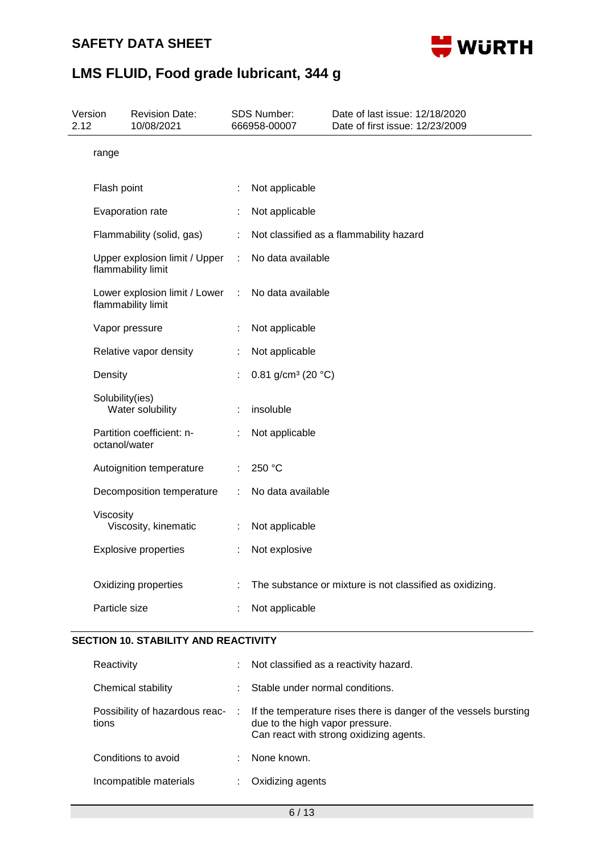

| 2.12 | Version         | <b>Revision Date:</b><br>10/08/2021                 |   | SDS Number:<br>666958-00007              | Date of last issue: 12/18/2020<br>Date of first issue: 12/23/2009 |
|------|-----------------|-----------------------------------------------------|---|------------------------------------------|-------------------------------------------------------------------|
|      | range           |                                                     |   |                                          |                                                                   |
|      | Flash point     |                                                     | t | Not applicable                           |                                                                   |
|      |                 | Evaporation rate                                    | ÷ | Not applicable                           |                                                                   |
|      |                 | Flammability (solid, gas)                           | ÷ |                                          | Not classified as a flammability hazard                           |
|      |                 | Upper explosion limit / Upper<br>flammability limit | ÷ | No data available                        |                                                                   |
|      |                 | Lower explosion limit / Lower<br>flammability limit | t | No data available                        |                                                                   |
|      |                 | Vapor pressure                                      | t | Not applicable                           |                                                                   |
|      |                 | Relative vapor density                              | ÷ | Not applicable                           |                                                                   |
|      | Density         |                                                     |   | 0.81 g/cm <sup>3</sup> (20 $^{\circ}$ C) |                                                                   |
|      | Solubility(ies) | Water solubility                                    |   | insoluble                                |                                                                   |
|      | octanol/water   | Partition coefficient: n-                           |   | Not applicable                           |                                                                   |
|      |                 | Autoignition temperature                            |   | 250 °C                                   |                                                                   |
|      |                 | Decomposition temperature                           |   | No data available                        |                                                                   |
|      | Viscosity       | Viscosity, kinematic                                |   | Not applicable                           |                                                                   |
|      |                 | <b>Explosive properties</b>                         | ÷ | Not explosive                            |                                                                   |
|      |                 | Oxidizing properties                                |   |                                          | The substance or mixture is not classified as oxidizing.          |
|      | Particle size   |                                                     |   | Not applicable                           |                                                                   |
|      |                 |                                                     |   |                                          |                                                                   |

## **SECTION 10. STABILITY AND REACTIVITY**

| Reactivity                              |      | Not classified as a reactivity hazard.                                                                                                         |
|-----------------------------------------|------|------------------------------------------------------------------------------------------------------------------------------------------------|
| Chemical stability                      |      | Stable under normal conditions.                                                                                                                |
| Possibility of hazardous reac-<br>tions | - 11 | If the temperature rises there is danger of the vessels bursting<br>due to the high vapor pressure.<br>Can react with strong oxidizing agents. |
| Conditions to avoid                     |      | None known.                                                                                                                                    |
| Incompatible materials                  |      | Oxidizing agents                                                                                                                               |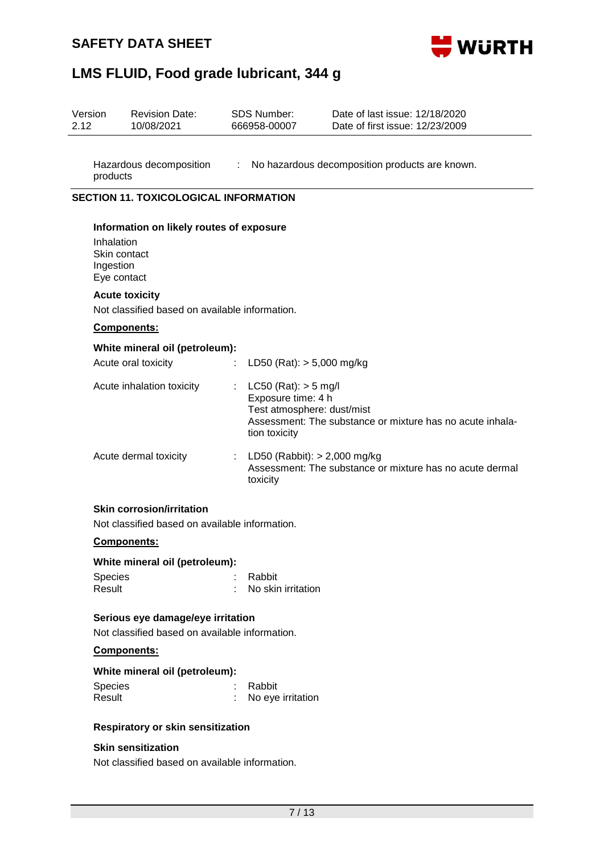# **SAFETY DATA SHEET**



# **LMS FLUID, Food grade lubricant, 344 g**

| Version<br>2.12         | <b>Revision Date:</b><br>10/08/2021                                                 |   | SDS Number:<br>666958-00007                                                                   | Date of last issue: 12/18/2020<br>Date of first issue: 12/23/2009 |  |  |  |  |  |
|-------------------------|-------------------------------------------------------------------------------------|---|-----------------------------------------------------------------------------------------------|-------------------------------------------------------------------|--|--|--|--|--|
| products                | Hazardous decomposition                                                             |   |                                                                                               | : No hazardous decomposition products are known.                  |  |  |  |  |  |
|                         | <b>SECTION 11. TOXICOLOGICAL INFORMATION</b>                                        |   |                                                                                               |                                                                   |  |  |  |  |  |
| Inhalation<br>Ingestion | Information on likely routes of exposure<br>Skin contact<br>Eye contact             |   |                                                                                               |                                                                   |  |  |  |  |  |
|                         | <b>Acute toxicity</b>                                                               |   |                                                                                               |                                                                   |  |  |  |  |  |
|                         | Not classified based on available information.                                      |   |                                                                                               |                                                                   |  |  |  |  |  |
|                         | <b>Components:</b>                                                                  |   |                                                                                               |                                                                   |  |  |  |  |  |
|                         | White mineral oil (petroleum):<br>Acute oral toxicity                               | ÷ | LD50 (Rat): $> 5,000$ mg/kg                                                                   |                                                                   |  |  |  |  |  |
|                         | Acute inhalation toxicity                                                           |   | $LC50$ (Rat): $> 5$ mg/l<br>Exposure time: 4 h<br>Test atmosphere: dust/mist<br>tion toxicity | Assessment: The substance or mixture has no acute inhala-         |  |  |  |  |  |
|                         | Acute dermal toxicity                                                               | ÷ | LD50 (Rabbit): $> 2,000$ mg/kg<br>toxicity                                                    | Assessment: The substance or mixture has no acute dermal          |  |  |  |  |  |
|                         | <b>Skin corrosion/irritation</b><br>Not classified based on available information.  |   |                                                                                               |                                                                   |  |  |  |  |  |
|                         | Components:                                                                         |   |                                                                                               |                                                                   |  |  |  |  |  |
|                         | White mineral oil (petroleum):                                                      |   |                                                                                               |                                                                   |  |  |  |  |  |
| Species<br>Result       |                                                                                     |   | Rabbit<br>No skin irritation                                                                  |                                                                   |  |  |  |  |  |
|                         | Serious eye damage/eye irritation<br>Not classified based on available information. |   |                                                                                               |                                                                   |  |  |  |  |  |
|                         | Components:                                                                         |   |                                                                                               |                                                                   |  |  |  |  |  |
|                         | White mineral oil (petroleum):                                                      |   |                                                                                               |                                                                   |  |  |  |  |  |
| Species<br>Result       |                                                                                     |   | Rabbit<br>No eye irritation                                                                   |                                                                   |  |  |  |  |  |

### **Respiratory or skin sensitization**

## **Skin sensitization**

Not classified based on available information.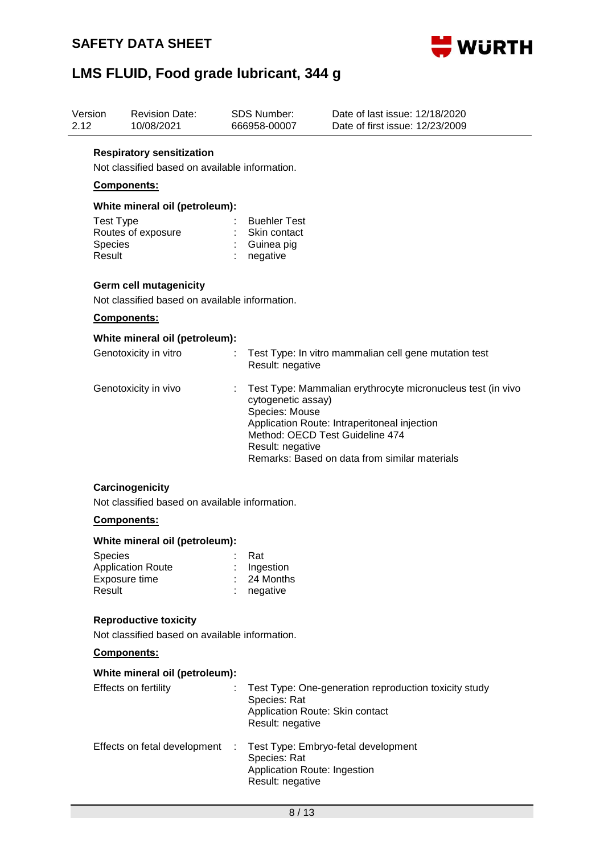

| Version<br>2.12 |                                               | <b>Revision Date:</b><br>10/08/2021                                                |  | <b>SDS Number:</b><br>666958-00007                                                          | Date of last issue: 12/18/2020<br>Date of first issue: 12/23/2009                                                                                            |  |  |  |
|-----------------|-----------------------------------------------|------------------------------------------------------------------------------------|--|---------------------------------------------------------------------------------------------|--------------------------------------------------------------------------------------------------------------------------------------------------------------|--|--|--|
|                 |                                               | <b>Respiratory sensitization</b><br>Not classified based on available information. |  |                                                                                             |                                                                                                                                                              |  |  |  |
|                 | Components:<br>White mineral oil (petroleum): |                                                                                    |  |                                                                                             |                                                                                                                                                              |  |  |  |
|                 |                                               |                                                                                    |  |                                                                                             |                                                                                                                                                              |  |  |  |
|                 | <b>Test Type</b><br>Species<br>Result         | Routes of exposure                                                                 |  | <b>Buehler Test</b><br>Skin contact<br>Guinea pig<br>negative                               |                                                                                                                                                              |  |  |  |
|                 |                                               | Germ cell mutagenicity<br>Not classified based on available information.           |  |                                                                                             |                                                                                                                                                              |  |  |  |
|                 |                                               | Components:                                                                        |  |                                                                                             |                                                                                                                                                              |  |  |  |
|                 |                                               | White mineral oil (petroleum):                                                     |  |                                                                                             |                                                                                                                                                              |  |  |  |
|                 |                                               | Genotoxicity in vitro                                                              |  | Result: negative                                                                            | Test Type: In vitro mammalian cell gene mutation test                                                                                                        |  |  |  |
|                 |                                               | Genotoxicity in vivo                                                               |  | cytogenetic assay)<br>Species: Mouse<br>Method: OECD Test Guideline 474<br>Result: negative | Test Type: Mammalian erythrocyte micronucleus test (in vivo<br>Application Route: Intraperitoneal injection<br>Remarks: Based on data from similar materials |  |  |  |
|                 |                                               | Carcinogenicity<br>Not classified based on available information.                  |  |                                                                                             |                                                                                                                                                              |  |  |  |
|                 |                                               | <b>Components:</b>                                                                 |  |                                                                                             |                                                                                                                                                              |  |  |  |
|                 | White mineral oil (petroleum):                |                                                                                    |  |                                                                                             |                                                                                                                                                              |  |  |  |
|                 | Species<br>Result                             | <b>Application Route</b><br>Exposure time                                          |  | Rat<br>Ingestion<br>24 Months<br>negative                                                   |                                                                                                                                                              |  |  |  |
|                 |                                               | <b>Reproductive toxicity</b><br>Not classified based on available information.     |  |                                                                                             |                                                                                                                                                              |  |  |  |
|                 |                                               | Components:                                                                        |  |                                                                                             |                                                                                                                                                              |  |  |  |
|                 |                                               | White mineral oil (petroleum):                                                     |  |                                                                                             |                                                                                                                                                              |  |  |  |
|                 |                                               | Effects on fertility                                                               |  | Species: Rat<br>Application Route: Skin contact<br>Result: negative                         | Test Type: One-generation reproduction toxicity study                                                                                                        |  |  |  |
|                 |                                               | Effects on fetal development                                                       |  | Species: Rat<br>Application Route: Ingestion<br>Result: negative                            | Test Type: Embryo-fetal development                                                                                                                          |  |  |  |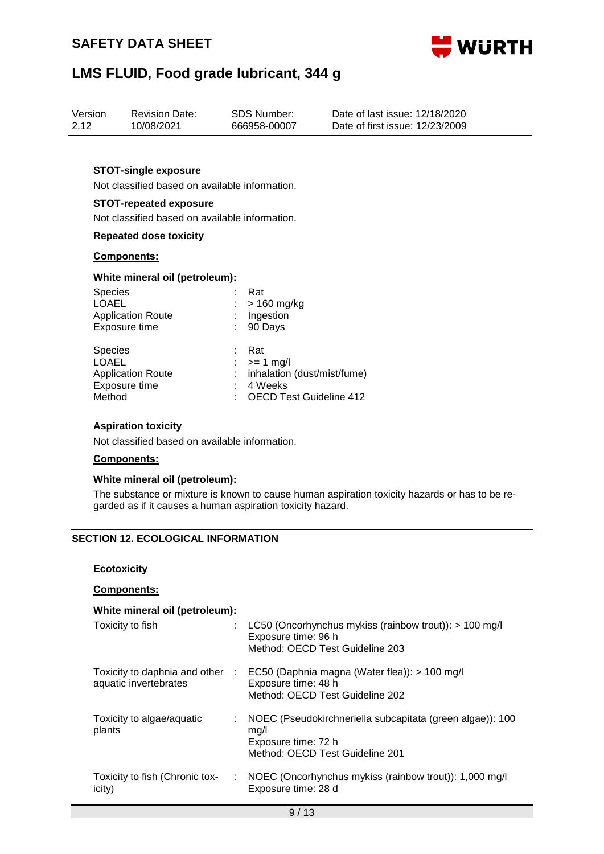

| Version | <b>Revision Date:</b> | SDS Number:  | Date of last issue: 12/18/2020  |
|---------|-----------------------|--------------|---------------------------------|
| 2.12    | 10/08/2021            | 666958-00007 | Date of first issue: 12/23/2009 |
|         |                       |              |                                 |

#### **STOT-single exposure**

Not classified based on available information.

#### **STOT-repeated exposure**

Not classified based on available information.

#### **Repeated dose toxicity**

#### **Components:**

#### **White mineral oil (petroleum):**

| <b>Species</b>                                                                        | Rat                                                                                                       |
|---------------------------------------------------------------------------------------|-----------------------------------------------------------------------------------------------------------|
| <b>LOAEL</b>                                                                          | $>$ 160 mg/kg                                                                                             |
| <b>Application Route</b>                                                              | Ingestion                                                                                                 |
| Exposure time                                                                         | 90 Days                                                                                                   |
| <b>Species</b><br><b>LOAEL</b><br><b>Application Route</b><br>Exposure time<br>Method | Rat<br>$\therefore$ >= 1 mg/l<br>inhalation (dust/mist/fume)<br>4 Weeks<br><b>OECD Test Guideline 412</b> |

#### **Aspiration toxicity**

Not classified based on available information.

#### **Components:**

### **White mineral oil (petroleum):**

The substance or mixture is known to cause human aspiration toxicity hazards or has to be regarded as if it causes a human aspiration toxicity hazard.

## **SECTION 12. ECOLOGICAL INFORMATION**

#### **Ecotoxicity**

#### **Components:**

#### **White mineral oil (petroleum):**

| Toxicity to fish                         |   | : LC50 (Oncorhynchus mykiss (rainbow trout)): $> 100$ mg/l<br>Exposure time: 96 h<br>Method: OECD Test Guideline 203                    |
|------------------------------------------|---|-----------------------------------------------------------------------------------------------------------------------------------------|
| aquatic invertebrates                    |   | Toxicity to daphnia and other : EC50 (Daphnia magna (Water flea)): > 100 mg/l<br>Exposure time: 48 h<br>Method: OECD Test Guideline 202 |
| Toxicity to algae/aquatic<br>plants      |   | NOEC (Pseudokirchneriella subcapitata (green algae)): 100<br>mq/l<br>Exposure time: 72 h<br>Method: OECD Test Guideline 201             |
| Toxicity to fish (Chronic tox-<br>icity) | ÷ | NOEC (Oncorhynchus mykiss (rainbow trout)): 1,000 mg/l<br>Exposure time: 28 d                                                           |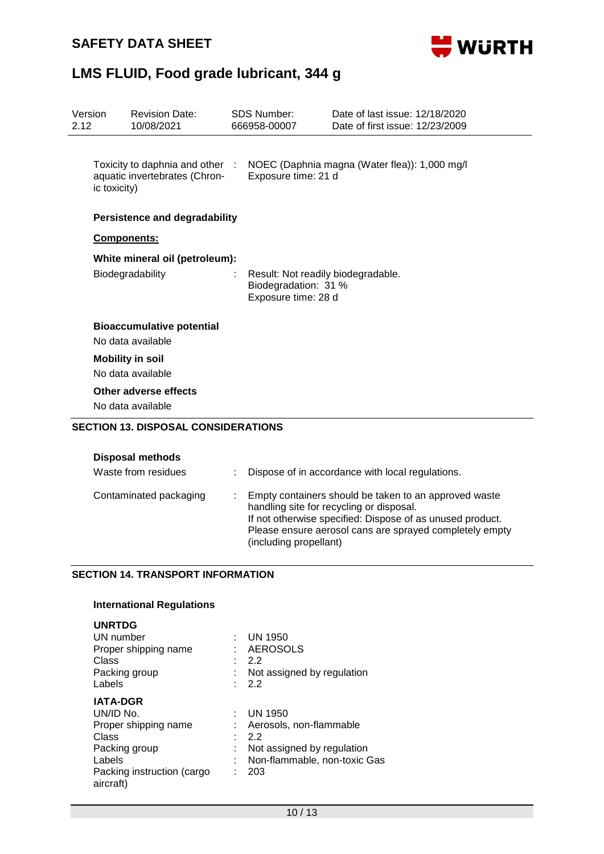

| Version<br>2.12 |              | <b>Revision Date:</b><br>10/08/2021                              | <b>SDS Number:</b><br>666958-00007                                                | Date of last issue: 12/18/2020<br>Date of first issue: 12/23/2009                                 |
|-----------------|--------------|------------------------------------------------------------------|-----------------------------------------------------------------------------------|---------------------------------------------------------------------------------------------------|
|                 | ic toxicity) | Toxicity to daphnia and other :<br>aquatic invertebrates (Chron- | Exposure time: 21 d                                                               | NOEC (Daphnia magna (Water flea)): 1,000 mg/l                                                     |
|                 |              | <b>Persistence and degradability</b>                             |                                                                                   |                                                                                                   |
|                 | Components:  |                                                                  |                                                                                   |                                                                                                   |
|                 |              | White mineral oil (petroleum):                                   |                                                                                   |                                                                                                   |
|                 |              | Biodegradability                                                 | Result: Not readily biodegradable.<br>Biodegradation: 31 %<br>Exposure time: 28 d |                                                                                                   |
|                 |              | <b>Bioaccumulative potential</b><br>No data available            |                                                                                   |                                                                                                   |
|                 |              | <b>Mobility in soil</b><br>No data available                     |                                                                                   |                                                                                                   |
|                 |              | Other adverse effects<br>No data available                       |                                                                                   |                                                                                                   |
|                 |              | <b>SECTION 13. DISPOSAL CONSIDERATIONS</b>                       |                                                                                   |                                                                                                   |
|                 |              | <b>Disposal methods</b>                                          |                                                                                   |                                                                                                   |
|                 |              | Waste from residues                                              |                                                                                   | Dispose of in accordance with local regulations.                                                  |
|                 |              | Contaminated packaging                                           |                                                                                   | Empty containers should be taken to an approved waste<br>handling site for recycling or disposal. |

# If not otherwise specified: Dispose of as unused product. Please ensure aerosol cans are sprayed completely empty (including propellant)

## **SECTION 14. TRANSPORT INFORMATION**

## **International Regulations**

| UN number                               | <b>UN 1950</b>               |
|-----------------------------------------|------------------------------|
| Proper shipping name                    | <b>AEROSOLS</b>              |
| Class                                   | 2.2                          |
| Packing group                           | Not assigned by regulation   |
| Labels                                  | 2.2                          |
| <b>IATA-DGR</b>                         |                              |
| UN/ID No.                               | <b>UN 1950</b>               |
| Proper shipping name                    | Aerosols, non-flammable      |
| Class                                   | 2.2                          |
| Packing group                           | Not assigned by regulation   |
| Labels                                  | Non-flammable, non-toxic Gas |
| Packing instruction (cargo<br>aircraft) | 203                          |
|                                         |                              |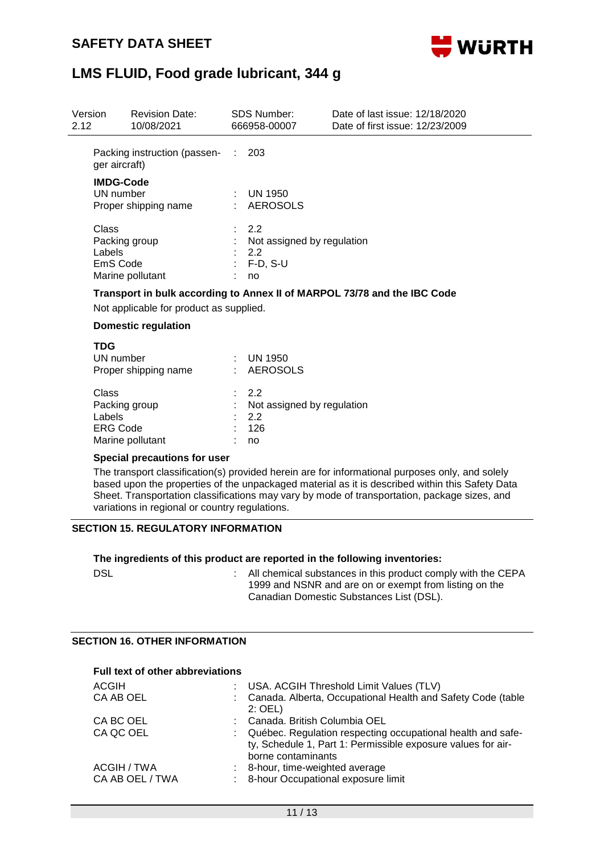

| Version<br><b>Revision Date:</b><br>10/08/2021<br>2.12 |                                                       | <b>SDS Number:</b><br>666958-00007                              | Date of last issue: 12/18/2020<br>Date of first issue: 12/23/2009 |
|--------------------------------------------------------|-------------------------------------------------------|-----------------------------------------------------------------|-------------------------------------------------------------------|
|                                                        | Packing instruction (passen-<br>ger aircraft)         | 203                                                             |                                                                   |
|                                                        | <b>IMDG-Code</b><br>UN number<br>Proper shipping name | UN 1950<br>: AEROSOLS                                           |                                                                   |
| Class<br>Labels                                        | Packing group<br>EmS Code<br>Marine pollutant         | : 2.2<br>Not assigned by regulation<br>2.2<br>$F-D$ , S-U<br>no |                                                                   |

#### **Transport in bulk according to Annex II of MARPOL 73/78 and the IBC Code**

Not applicable for product as supplied.

#### **Domestic regulation**

| <b>TDG</b><br>UN number<br>Proper shipping name                         | UN 1950<br>: AEROSOLS                                |
|-------------------------------------------------------------------------|------------------------------------------------------|
| Class<br>Packing group<br>Labels<br><b>ERG Code</b><br>Marine pollutant | .22<br>Not assigned by regulation<br>22<br>126<br>no |

#### **Special precautions for user**

The transport classification(s) provided herein are for informational purposes only, and solely based upon the properties of the unpackaged material as it is described within this Safety Data Sheet. Transportation classifications may vary by mode of transportation, package sizes, and variations in regional or country regulations.

### **SECTION 15. REGULATORY INFORMATION**

#### **The ingredients of this product are reported in the following inventories:**

| <b>DSL</b> | All chemical substances in this product comply with the CEPA |
|------------|--------------------------------------------------------------|
|            | 1999 and NSNR and are on or exempt from listing on the       |
|            | Canadian Domestic Substances List (DSL).                     |

#### **SECTION 16. OTHER INFORMATION**

#### **Full text of other abbreviations**

| <b>ACGIH</b>                   |    | USA. ACGIH Threshold Limit Values (TLV)                                                                                                             |
|--------------------------------|----|-----------------------------------------------------------------------------------------------------------------------------------------------------|
| CA AB OEL                      |    | Canada. Alberta, Occupational Health and Safety Code (table<br>$2:$ OEL)                                                                            |
| CA BC OEL                      |    | Canada. British Columbia OEL                                                                                                                        |
| CA QC OEL                      |    | : Québec. Regulation respecting occupational health and safe-<br>ty, Schedule 1, Part 1: Permissible exposure values for air-<br>borne contaminants |
| ACGIH / TWA<br>CA AB OEL / TWA | ÷. | 8-hour, time-weighted average<br>: 8-hour Occupational exposure limit                                                                               |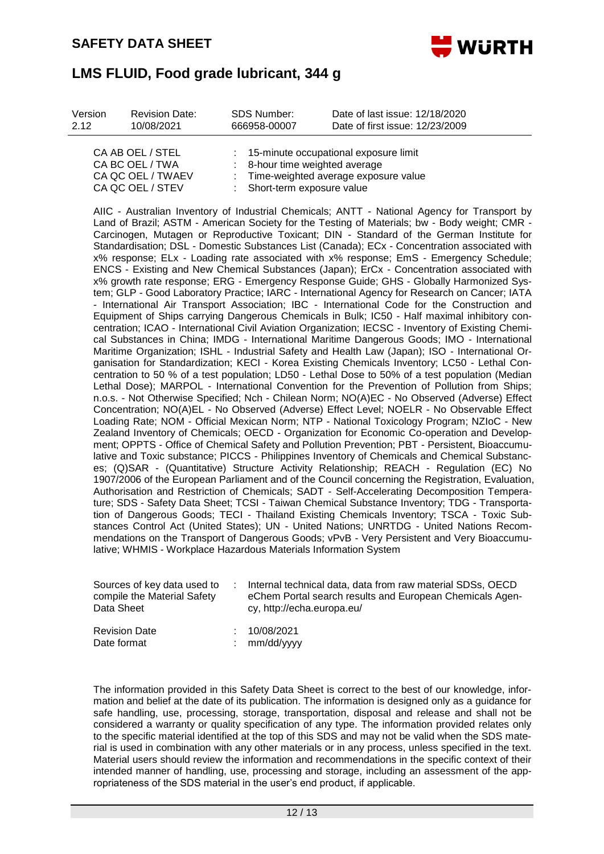

| Version | <b>Revision Date:</b>               | SDS Number:                               | Date of last issue: 12/18/2020          |
|---------|-------------------------------------|-------------------------------------------|-----------------------------------------|
| 2.12    | 10/08/2021                          | 666958-00007                              | Date of first issue: 12/23/2009         |
|         | CA AB OEL / STEL<br>CA BC OEL / TWA | $\therefore$ 8-hour time weighted average | : 15-minute occupational exposure limit |

| CA BC OEL / TWA   | : 8-hour time weighted average         |
|-------------------|----------------------------------------|
| CA QC OEL / TWAEV | : Time-weighted average exposure value |
| CA QC OEL / STEV  | : Short-term exposure value            |

AIIC - Australian Inventory of Industrial Chemicals; ANTT - National Agency for Transport by Land of Brazil; ASTM - American Society for the Testing of Materials; bw - Body weight; CMR - Carcinogen, Mutagen or Reproductive Toxicant; DIN - Standard of the German Institute for Standardisation; DSL - Domestic Substances List (Canada); ECx - Concentration associated with x% response; ELx - Loading rate associated with x% response; EmS - Emergency Schedule; ENCS - Existing and New Chemical Substances (Japan); ErCx - Concentration associated with x% growth rate response; ERG - Emergency Response Guide; GHS - Globally Harmonized System; GLP - Good Laboratory Practice; IARC - International Agency for Research on Cancer; IATA - International Air Transport Association; IBC - International Code for the Construction and Equipment of Ships carrying Dangerous Chemicals in Bulk; IC50 - Half maximal inhibitory concentration; ICAO - International Civil Aviation Organization; IECSC - Inventory of Existing Chemical Substances in China; IMDG - International Maritime Dangerous Goods; IMO - International Maritime Organization; ISHL - Industrial Safety and Health Law (Japan); ISO - International Organisation for Standardization; KECI - Korea Existing Chemicals Inventory; LC50 - Lethal Concentration to 50 % of a test population; LD50 - Lethal Dose to 50% of a test population (Median Lethal Dose); MARPOL - International Convention for the Prevention of Pollution from Ships; n.o.s. - Not Otherwise Specified; Nch - Chilean Norm; NO(A)EC - No Observed (Adverse) Effect Concentration; NO(A)EL - No Observed (Adverse) Effect Level; NOELR - No Observable Effect Loading Rate; NOM - Official Mexican Norm; NTP - National Toxicology Program; NZIoC - New Zealand Inventory of Chemicals; OECD - Organization for Economic Co-operation and Development; OPPTS - Office of Chemical Safety and Pollution Prevention; PBT - Persistent, Bioaccumulative and Toxic substance; PICCS - Philippines Inventory of Chemicals and Chemical Substances; (Q)SAR - (Quantitative) Structure Activity Relationship; REACH - Regulation (EC) No 1907/2006 of the European Parliament and of the Council concerning the Registration, Evaluation, Authorisation and Restriction of Chemicals; SADT - Self-Accelerating Decomposition Temperature; SDS - Safety Data Sheet; TCSI - Taiwan Chemical Substance Inventory; TDG - Transportation of Dangerous Goods; TECI - Thailand Existing Chemicals Inventory; TSCA - Toxic Substances Control Act (United States); UN - United Nations; UNRTDG - United Nations Recommendations on the Transport of Dangerous Goods; vPvB - Very Persistent and Very Bioaccumulative; WHMIS - Workplace Hazardous Materials Information System

| Sources of key data used to<br>compile the Material Safety<br>Data Sheet | Internal technical data, data from raw material SDSs, OECD<br>eChem Portal search results and European Chemicals Agen-<br>cy, http://echa.europa.eu/ |
|--------------------------------------------------------------------------|------------------------------------------------------------------------------------------------------------------------------------------------------|
| <b>Revision Date</b><br>Date format                                      | 10/08/2021<br>mm/dd/yyyy                                                                                                                             |

The information provided in this Safety Data Sheet is correct to the best of our knowledge, information and belief at the date of its publication. The information is designed only as a guidance for safe handling, use, processing, storage, transportation, disposal and release and shall not be considered a warranty or quality specification of any type. The information provided relates only to the specific material identified at the top of this SDS and may not be valid when the SDS material is used in combination with any other materials or in any process, unless specified in the text. Material users should review the information and recommendations in the specific context of their intended manner of handling, use, processing and storage, including an assessment of the appropriateness of the SDS material in the user's end product, if applicable.